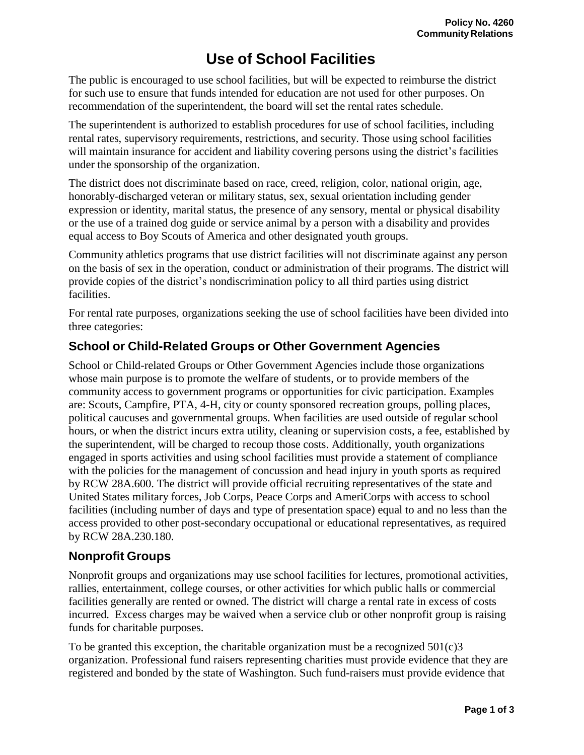# **Use of School Facilities**

The public is encouraged to use school facilities, but will be expected to reimburse the district for such use to ensure that funds intended for education are not used for other purposes. On recommendation of the superintendent, the board will set the rental rates schedule.

The superintendent is authorized to establish procedures for use of school facilities, including rental rates, supervisory requirements, restrictions, and security. Those using school facilities will maintain insurance for accident and liability covering persons using the district's facilities under the sponsorship of the organization.

The district does not discriminate based on race, creed, religion, color, national origin, age, honorably-discharged veteran or military status, sex, sexual orientation including gender expression or identity, marital status, the presence of any sensory, mental or physical disability or the use of a trained dog guide or service animal by a person with a disability and provides equal access to Boy Scouts of America and other designated youth groups.

Community athletics programs that use district facilities will not discriminate against any person on the basis of sex in the operation, conduct or administration of their programs. The district will provide copies of the district's nondiscrimination policy to all third parties using district facilities.

For rental rate purposes, organizations seeking the use of school facilities have been divided into three categories:

### **School or Child-Related Groups or Other Government Agencies**

School or Child-related Groups or Other Government Agencies include those organizations whose main purpose is to promote the welfare of students, or to provide members of the community access to government programs or opportunities for civic participation. Examples are: Scouts, Campfire, PTA, 4-H, city or county sponsored recreation groups, polling places, political caucuses and governmental groups. When facilities are used outside of regular school hours, or when the district incurs extra utility, cleaning or supervision costs, a fee, established by the superintendent, will be charged to recoup those costs. Additionally, youth organizations engaged in sports activities and using school facilities must provide a statement of compliance with the policies for the management of concussion and head injury in youth sports as required by RCW 28A.600. The district will provide official recruiting representatives of the state and United States military forces, Job Corps, Peace Corps and AmeriCorps with access to school facilities (including number of days and type of presentation space) equal to and no less than the access provided to other post-secondary occupational or educational representatives, as required by RCW [28A.230.180.](http://apps.leg.wa.gov/rcw/default.aspx?cite=28A.230.180)

### **Nonprofit Groups**

Nonprofit groups and organizations may use school facilities for lectures, promotional activities, rallies, entertainment, college courses, or other activities for which public halls or commercial facilities generally are rented or owned. The district will charge a rental rate in excess of costs incurred. Excess charges may be waived when a service club or other nonprofit group is raising funds for charitable purposes.

To be granted this exception, the charitable organization must be a recognized  $501(c)3$ organization. Professional fund raisers representing charities must provide evidence that they are registered and bonded by the state of Washington. Such fund-raisers must provide evidence that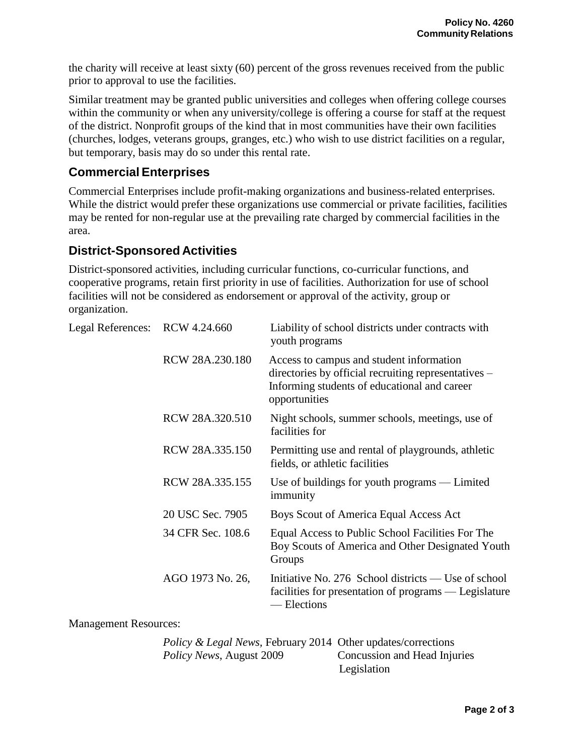the charity will receive at least sixty (60) percent of the gross revenues received from the public prior to approval to use the facilities.

Similar treatment may be granted public universities and colleges when offering college courses within the community or when any university/college is offering a course for staff at the request of the district. Nonprofit groups of the kind that in most communities have their own facilities (churches, lodges, veterans groups, granges, etc.) who wish to use district facilities on a regular, but temporary, basis may do so under this rental rate.

## **Commercial Enterprises**

Commercial Enterprises include profit-making organizations and business-related enterprises. While the district would prefer these organizations use commercial or private facilities, facilities may be rented for non-regular use at the prevailing rate charged by commercial facilities in the area.

#### **District-Sponsored Activities**

District-sponsored activities, including curricular functions, co-curricular functions, and cooperative programs, retain first priority in use of facilities. Authorization for use of school facilities will not be considered as endorsement or approval of the activity, group or organization.

| Legal References: RCW 4.24.660 |                   | Liability of school districts under contracts with<br>youth programs                                                                                              |
|--------------------------------|-------------------|-------------------------------------------------------------------------------------------------------------------------------------------------------------------|
|                                | RCW 28A.230.180   | Access to campus and student information<br>directories by official recruiting representatives –<br>Informing students of educational and career<br>opportunities |
|                                | RCW 28A.320.510   | Night schools, summer schools, meetings, use of<br>facilities for                                                                                                 |
|                                | RCW 28A.335.150   | Permitting use and rental of playgrounds, athletic<br>fields, or athletic facilities                                                                              |
|                                | RCW 28A.335.155   | Use of buildings for youth programs $-$ Limited<br>immunity                                                                                                       |
|                                | 20 USC Sec. 7905  | Boys Scout of America Equal Access Act                                                                                                                            |
|                                | 34 CFR Sec. 108.6 | Equal Access to Public School Facilities For The<br>Boy Scouts of America and Other Designated Youth<br>Groups                                                    |
|                                | AGO 1973 No. 26,  | Initiative No. 276 School districts — Use of school<br>facilities for presentation of programs — Legislature<br>— Elections                                       |
|                                |                   |                                                                                                                                                                   |

Management Resources:

| <i>Policy &amp; Legal News, February 2014 Other updates/corrections</i> |                              |
|-------------------------------------------------------------------------|------------------------------|
| <i>Policy News, August 2009</i>                                         | Concussion and Head Injuries |
|                                                                         | Legislation                  |